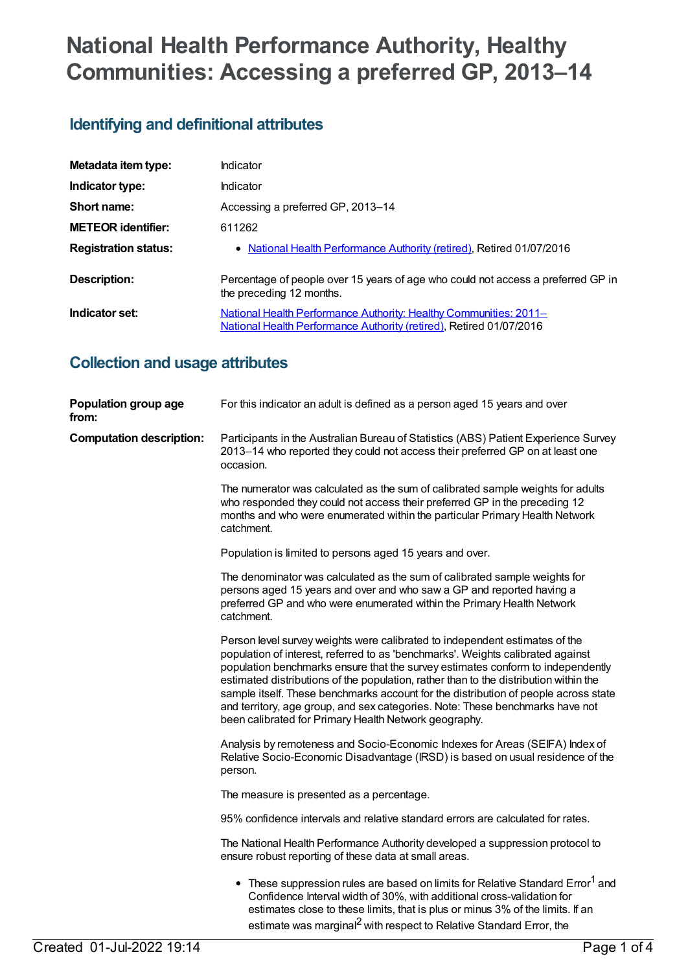# **National Health Performance Authority, Healthy Communities: Accessing a preferred GP, 2013–14**

### **Identifying and definitional attributes**

| Metadata item type:         | Indicator                                                                                                                                |
|-----------------------------|------------------------------------------------------------------------------------------------------------------------------------------|
| Indicator type:             | Indicator                                                                                                                                |
| Short name:                 | Accessing a preferred GP, 2013-14                                                                                                        |
| <b>METEOR identifier:</b>   | 611262                                                                                                                                   |
| <b>Registration status:</b> | • National Health Performance Authority (retired), Retired 01/07/2016                                                                    |
| Description:                | Percentage of people over 15 years of age who could not access a preferred GP in<br>the preceding 12 months.                             |
| Indicator set:              | National Health Performance Authority: Healthy Communities: 2011-<br>National Health Performance Authority (retired), Retired 01/07/2016 |

#### **Collection and usage attributes**

| Population group age<br>from:   | For this indicator an adult is defined as a person aged 15 years and over                                                                                                                                                                                                                                                                                                                                                                                                                                                                                                   |
|---------------------------------|-----------------------------------------------------------------------------------------------------------------------------------------------------------------------------------------------------------------------------------------------------------------------------------------------------------------------------------------------------------------------------------------------------------------------------------------------------------------------------------------------------------------------------------------------------------------------------|
| <b>Computation description:</b> | Participants in the Australian Bureau of Statistics (ABS) Patient Experience Survey<br>2013-14 who reported they could not access their preferred GP on at least one<br>occasion.                                                                                                                                                                                                                                                                                                                                                                                           |
|                                 | The numerator was calculated as the sum of calibrated sample weights for adults<br>who responded they could not access their preferred GP in the preceding 12<br>months and who were enumerated within the particular Primary Health Network<br>catchment.                                                                                                                                                                                                                                                                                                                  |
|                                 | Population is limited to persons aged 15 years and over.                                                                                                                                                                                                                                                                                                                                                                                                                                                                                                                    |
|                                 | The denominator was calculated as the sum of calibrated sample weights for<br>persons aged 15 years and over and who saw a GP and reported having a<br>preferred GP and who were enumerated within the Primary Health Network<br>catchment.                                                                                                                                                                                                                                                                                                                                 |
|                                 | Person level survey weights were calibrated to independent estimates of the<br>population of interest, referred to as 'benchmarks'. Weights calibrated against<br>population benchmarks ensure that the survey estimates conform to independently<br>estimated distributions of the population, rather than to the distribution within the<br>sample itself. These benchmarks account for the distribution of people across state<br>and territory, age group, and sex categories. Note: These benchmarks have not<br>been calibrated for Primary Health Network geography. |
|                                 | Analysis by remoteness and Socio-Economic Indexes for Areas (SEIFA) Index of<br>Relative Socio-Economic Disadvantage (IRSD) is based on usual residence of the<br>person.                                                                                                                                                                                                                                                                                                                                                                                                   |
|                                 | The measure is presented as a percentage.                                                                                                                                                                                                                                                                                                                                                                                                                                                                                                                                   |
|                                 | 95% confidence intervals and relative standard errors are calculated for rates.                                                                                                                                                                                                                                                                                                                                                                                                                                                                                             |
|                                 | The National Health Performance Authority developed a suppression protocol to<br>ensure robust reporting of these data at small areas.                                                                                                                                                                                                                                                                                                                                                                                                                                      |
|                                 | • These suppression rules are based on limits for Relative Standard Error <sup>1</sup> and<br>Confidence Interval width of 30%, with additional cross-validation for<br>estimates close to these limits, that is plus or minus 3% of the limits. If an<br>estimate was marginal <sup>2</sup> with respect to Relative Standard Error, the                                                                                                                                                                                                                                   |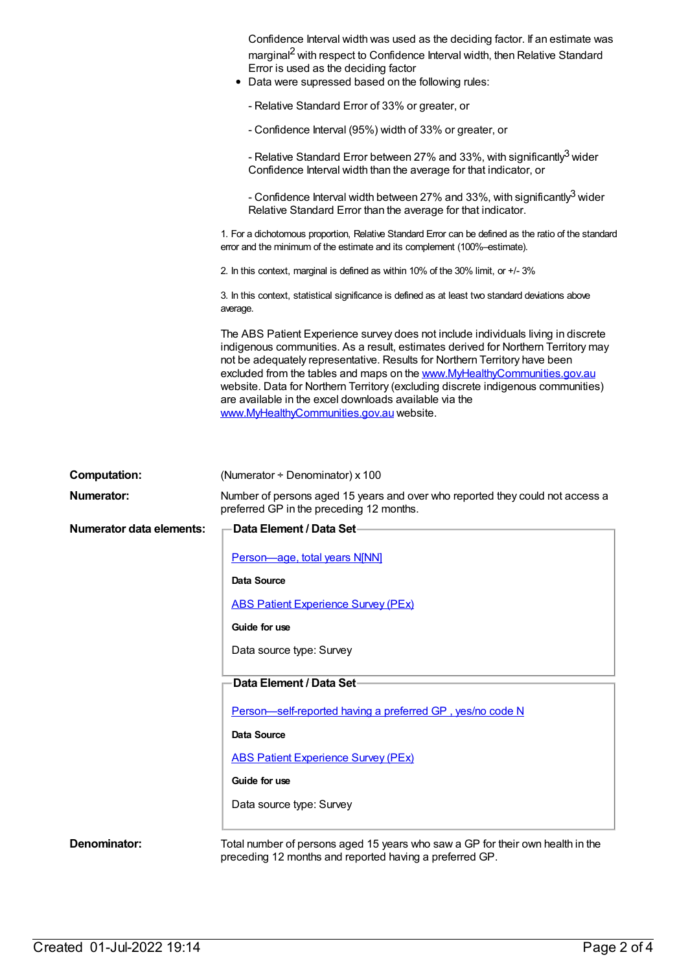|                                          | Confidence Interval width was used as the deciding factor. If an estimate was<br>marginal <sup>2</sup> with respect to Confidence Interval width, then Relative Standard<br>Error is used as the deciding factor<br>• Data were supressed based on the following rules:                                                                                                                                                                                                                                                    |
|------------------------------------------|----------------------------------------------------------------------------------------------------------------------------------------------------------------------------------------------------------------------------------------------------------------------------------------------------------------------------------------------------------------------------------------------------------------------------------------------------------------------------------------------------------------------------|
|                                          | - Relative Standard Error of 33% or greater, or                                                                                                                                                                                                                                                                                                                                                                                                                                                                            |
|                                          | - Confidence Interval (95%) width of 33% or greater, or                                                                                                                                                                                                                                                                                                                                                                                                                                                                    |
|                                          | - Relative Standard Error between 27% and 33%, with significantly <sup>3</sup> wider<br>Confidence Interval width than the average for that indicator, or                                                                                                                                                                                                                                                                                                                                                                  |
|                                          | - Confidence Interval width between 27% and 33%, with significantly <sup>3</sup> wider<br>Relative Standard Error than the average for that indicator.                                                                                                                                                                                                                                                                                                                                                                     |
|                                          | 1. For a dichotomous proportion, Relative Standard Error can be defined as the ratio of the standard<br>error and the minimum of the estimate and its complement (100%-estimate).                                                                                                                                                                                                                                                                                                                                          |
|                                          | 2. In this context, marginal is defined as within 10% of the 30% limit, or +/-3%                                                                                                                                                                                                                                                                                                                                                                                                                                           |
|                                          | 3. In this context, statistical significance is defined as at least two standard deviations above<br>average.                                                                                                                                                                                                                                                                                                                                                                                                              |
|                                          | The ABS Patient Experience survey does not include individuals living in discrete<br>indigenous communities. As a result, estimates derived for Northern Territory may<br>not be adequately representative. Results for Northern Territory have been<br>excluded from the tables and maps on the www.MyHealthyCommunities.gov.au<br>website. Data for Northern Territory (excluding discrete indigenous communities)<br>are available in the excel downloads available via the<br>www.MyHealthyCommunities.gov.au website. |
| <b>Computation:</b><br><b>Numerator:</b> | (Numerator $\div$ Denominator) x 100<br>Number of persons aged 15 years and over who reported they could not access a                                                                                                                                                                                                                                                                                                                                                                                                      |
|                                          | preferred GP in the preceding 12 months.                                                                                                                                                                                                                                                                                                                                                                                                                                                                                   |
| <b>Numerator data elements:</b>          | Data Element / Data Set                                                                                                                                                                                                                                                                                                                                                                                                                                                                                                    |
|                                          | Person-age, total years N[NN]                                                                                                                                                                                                                                                                                                                                                                                                                                                                                              |
|                                          | <b>Data Source</b>                                                                                                                                                                                                                                                                                                                                                                                                                                                                                                         |
|                                          | <b>ABS Patient Experience Survey (PEx)</b>                                                                                                                                                                                                                                                                                                                                                                                                                                                                                 |
|                                          | Guide for use                                                                                                                                                                                                                                                                                                                                                                                                                                                                                                              |
|                                          | Data source type: Survey                                                                                                                                                                                                                                                                                                                                                                                                                                                                                                   |
|                                          | Data Element / Data Set-                                                                                                                                                                                                                                                                                                                                                                                                                                                                                                   |
|                                          | Person-self-reported having a preferred GP, yes/no code N                                                                                                                                                                                                                                                                                                                                                                                                                                                                  |
|                                          | Data Source                                                                                                                                                                                                                                                                                                                                                                                                                                                                                                                |
|                                          | <b>ABS Patient Experience Survey (PEx)</b>                                                                                                                                                                                                                                                                                                                                                                                                                                                                                 |
|                                          | Guide for use                                                                                                                                                                                                                                                                                                                                                                                                                                                                                                              |
|                                          | Data source type: Survey                                                                                                                                                                                                                                                                                                                                                                                                                                                                                                   |
| Denominator:                             | Total number of persons aged 15 years who saw a GP for their own health in the<br>preceding 12 months and reported having a preferred GP.                                                                                                                                                                                                                                                                                                                                                                                  |